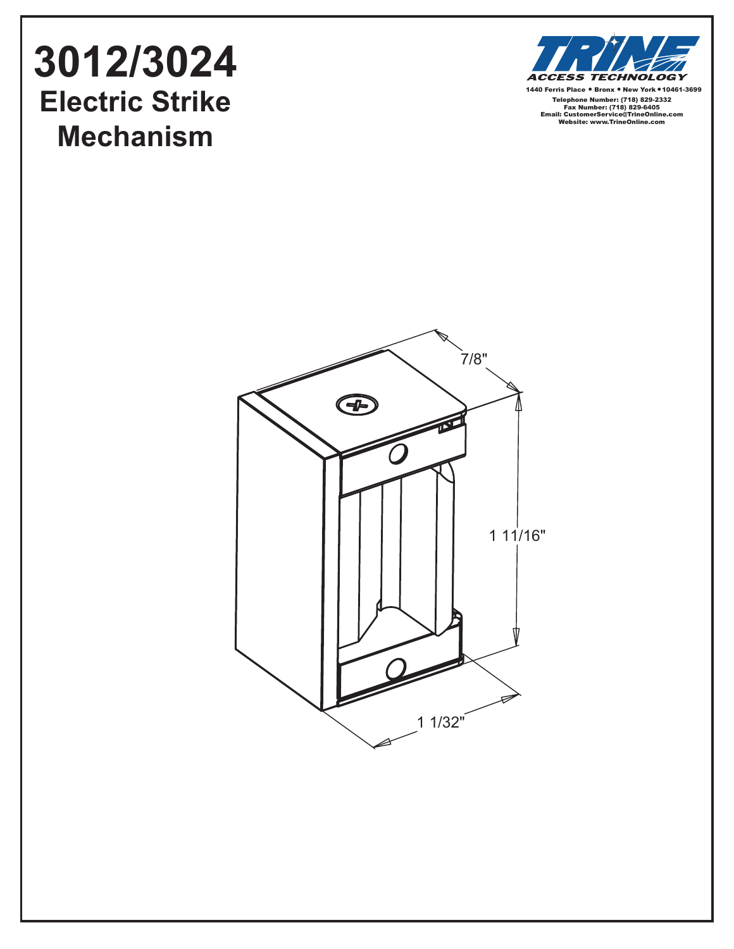## **3012/3024 Electric Strike Mechanism**



1440 Ferris Place • Bronx • New York • 10461-3699 Telephone Number: (718) 829-2332 Fax Number: (718) 829-6405 Email: CustomerService@TrineOnline.com Website: www.TrineOnline.com

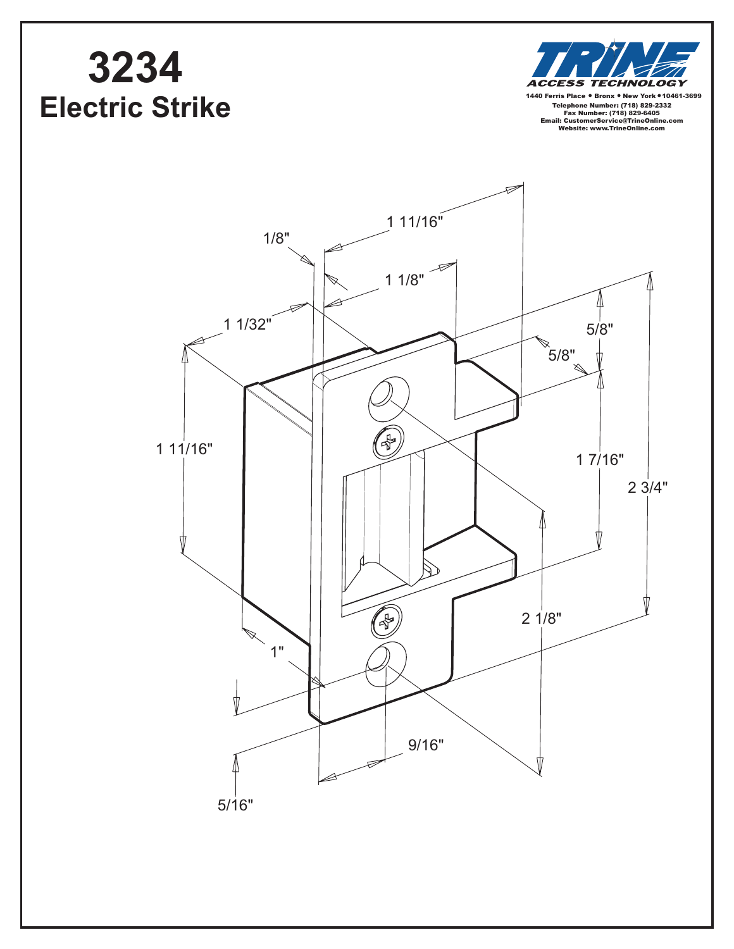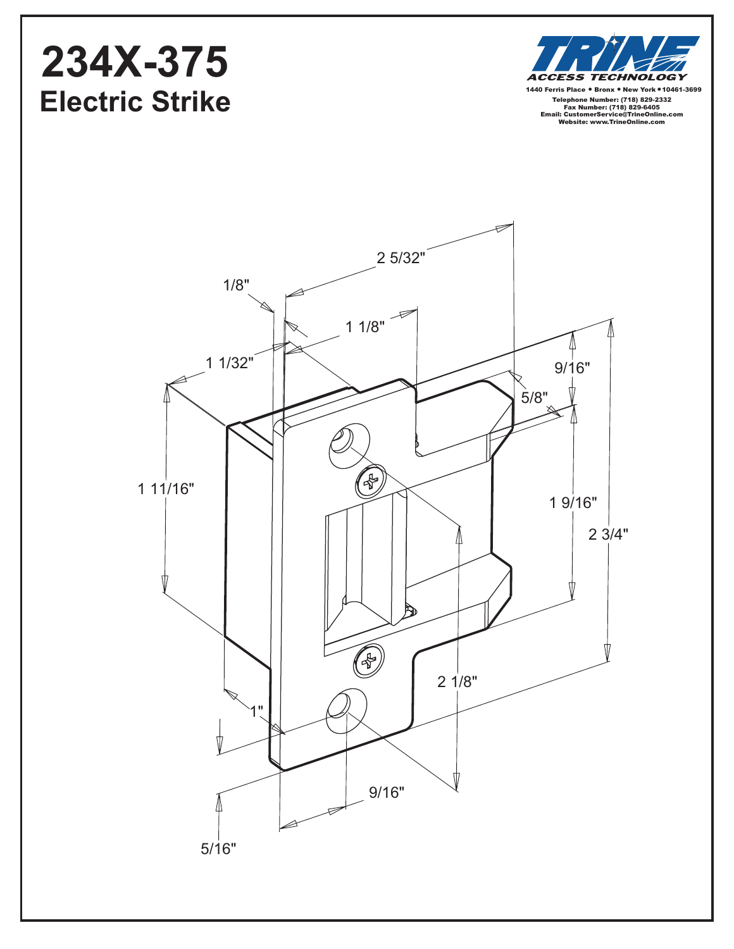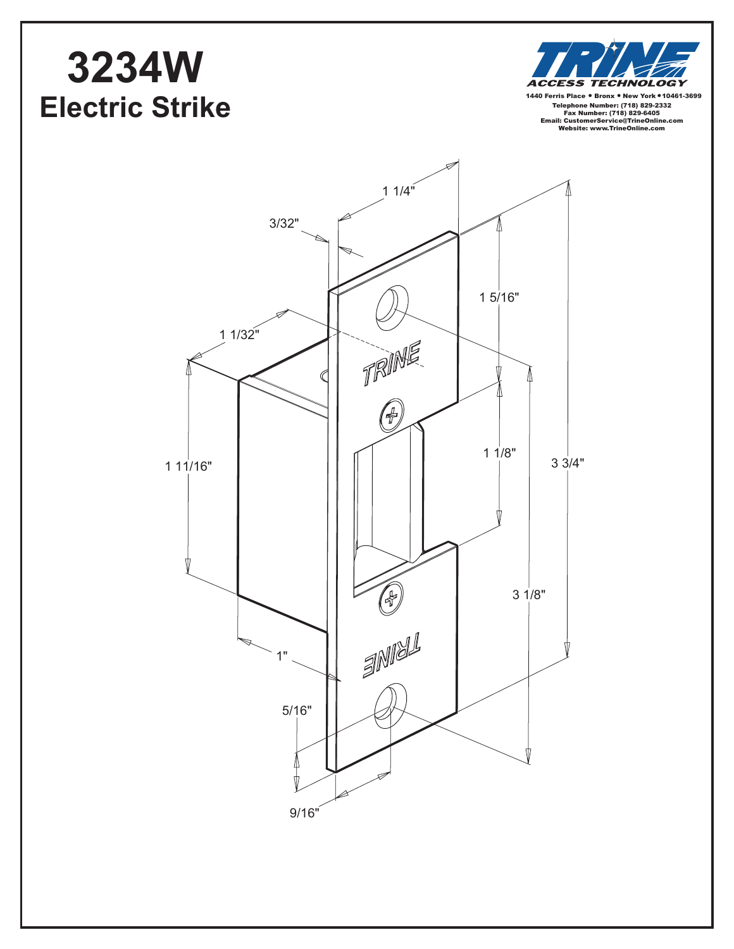## **3234W Electric Strike**



Telephone Number: (718) 829-2332 Fax Number: (718) 829-6405 Email: CustomerService@TrineOnline.com Website: www.TrineOnline.com 1440 Ferris Place . Bronx . New York . 10461-3699

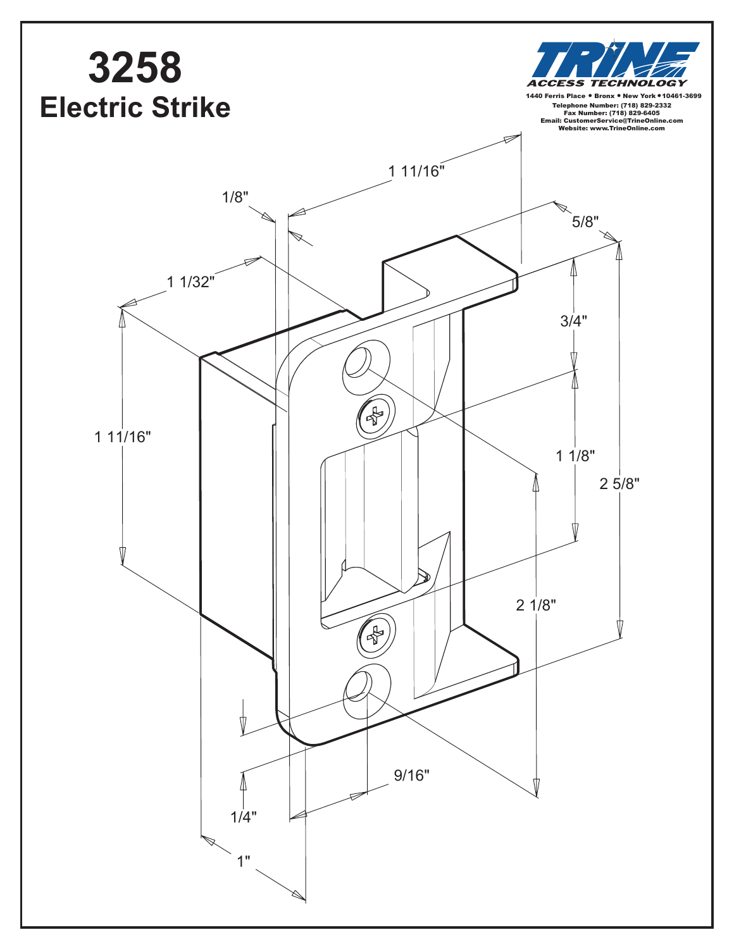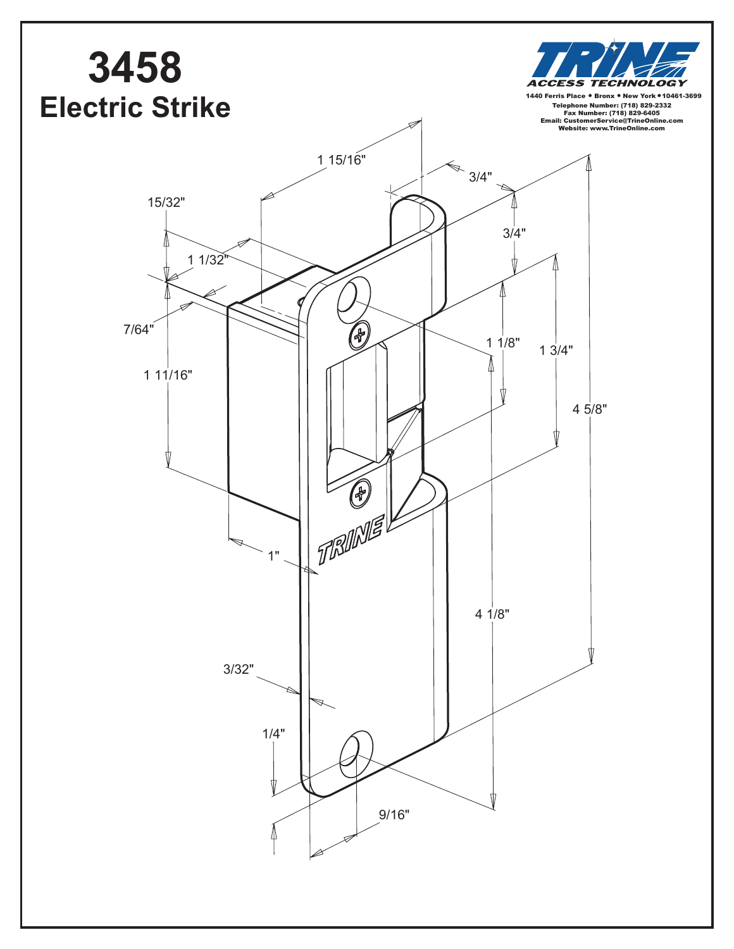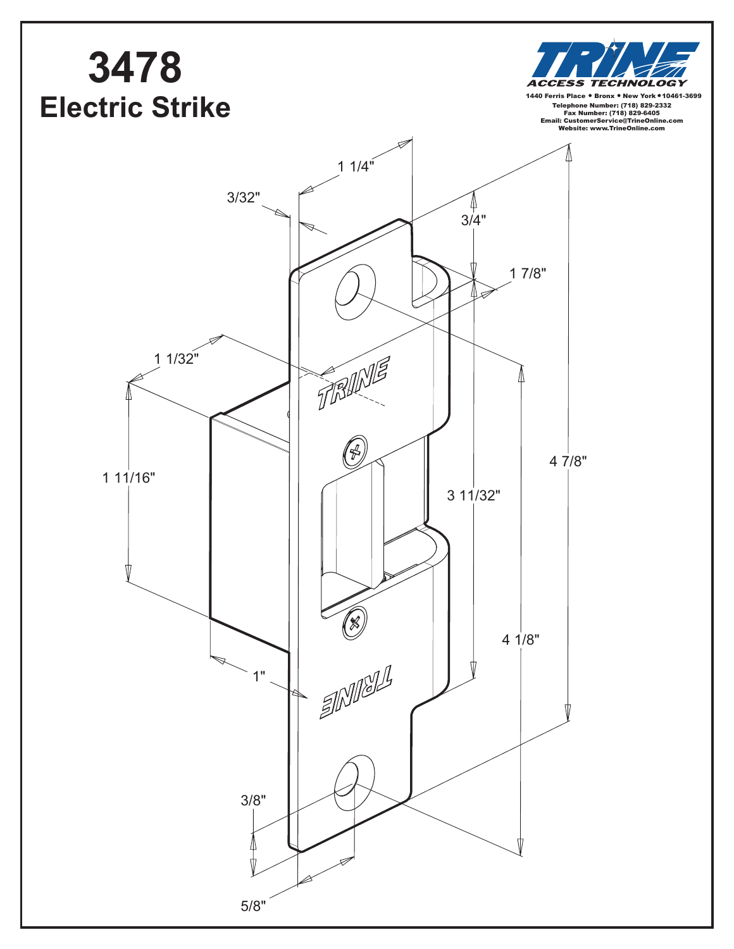